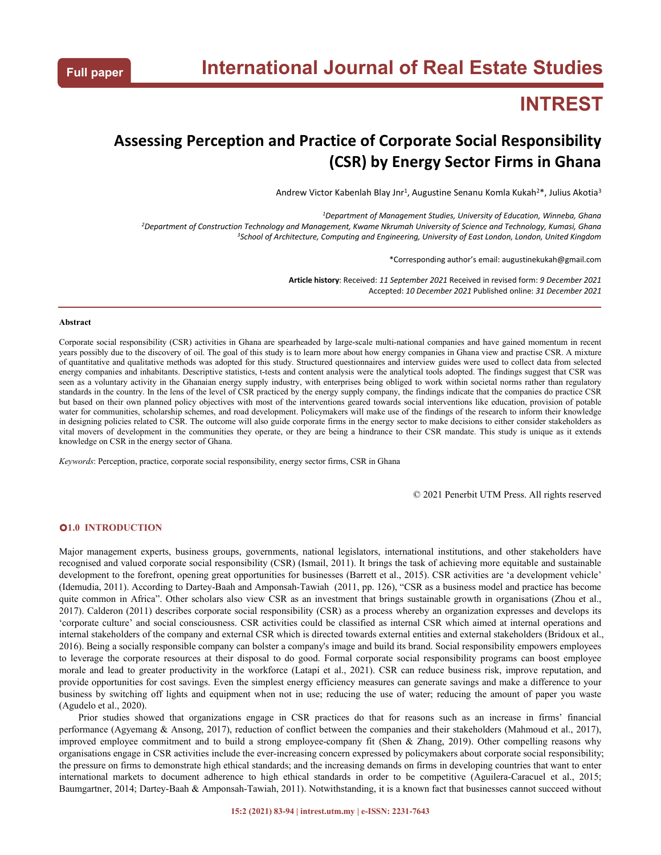# **INTREST**

## **Assessing Perception and Practice of Corporate Social Responsibility (CSR) by Energy Sector Firms in Ghana**

Andrew Victor Kabenlah Blay Jnr<sup>1</sup>, Augustine Senanu Komla Kukah<sup>2\*</sup>, Julius Akotia<sup>3</sup> 3

*<sup>1</sup>Department of Management Studies, University of Education, Winneba, Ghana* <sup>2</sup>Department of Construction Technology and Management, Kwame Nkrumah University of Science and Technology, Kumasi, Ghana *<sup>3</sup>School of Architecture, Computing and Engineering, University of East London, London, United Kingdom*

\*Corresponding author's email: augustinekukah@gmail.com

**Article history**: Received: *11 September 2021* Received in revised form: *9 December 2021* Accepted: *10 December 2021* Published online: *31 December 2021*

#### **Abstract**

Corporate social responsibility (CSR) activities in Ghana are spearheaded by large-scale multi-national companies and have gained momentum in recent years possibly due to the discovery of oil. The goal of this study is to learn more about how energy companies in Ghana view and practise CSR. A mixture of quantitative and qualitative methods was adopted for this study.Structured questionnaires and interview guides were used to collect data from selected energy companies and inhabitants. Descriptive statistics, t-tests and content analysis were the analytical tools adopted. The findings suggest that CSR was seen as a voluntary activity in the Ghanaian energy supply industry, with enterprises being obliged to work within societal norms rather than regulatory standards in the country. In the lens of the level of CSR practiced by the energy supply company, the findings indicate that the companies do practice CSR but based on their own planned policy objectives with most of the interventions geared towards social interventions like education, provision of potable water for communities, scholarship schemes, and road development. Policymakers will make use of the findings of the research to inform their knowledge in designing policies related to CSR. The outcome will also guide corporate firms in the energy sector to make decisions to either consider stakeholders as vital movers of development in the communities they operate, or they are being a hindrance to their CSR mandate. This study is unique as it extends knowledge on CSR in the energy sector of Ghana.

*Keywords*: Perception, practice, corporate social responsibility, energy sector firms, CSR in Ghana

© 2021 Penerbit UTM Press. All rights reserved

### **1.0 INTRODUCTION**

Major management experts, business groups, governments, national legislators, international institutions, and other stakeholders have recognised and valued corporate social responsibility (CSR) (Ismail, 2011). It brings the task of achieving more equitable and sustainable development to the forefront, opening great opportunities for businesses (Barrett et al., 2015). CSR activities are 'a development vehicle' (Idemudia, 2011). According to Dartey-Baah and Amponsah-Tawiah (2011, pp.126), "CSR as a business model and practice has become quite common in Africa". Other scholars also view CSR as an investment that brings sustainable growth in organisations (Zhou et al., 2017). Calderon (2011) describes corporate social responsibility (CSR) as a process whereby an organization expresses and develops its 'corporate culture' and social consciousness. CSR activities could be classified as internal CSR which aimed at internal operations and internal stakeholders of the company and external CSR which is directed towards external entities and external stakeholders (Bridoux et al., 2016). Being a socially responsible company can bolster a company's image and build its brand. Social responsibility empowers employees to leverage the corporate resources at their disposal to do good. Formal corporate social responsibility programs can boost employee morale and lead to greater productivity in the workforce (Latapí et al., 2021). CSR can reduce business risk, improve reputation, and provide opportunities for cost savings. Even the simplest energy efficiency measures can generate savings and make a difference to your business by switching off lights and equipment when not in use; reducing the use of water; reducing the amount of paper you waste (Agudelo et al., 2020).

Prior studies showed that organizations engage in CSR practices do that for reasons such as an increase in firms' financial performance (Agyemang & Ansong,2017), reduction of conflict between the companies and their stakeholders (Mahmoud et al., 2017), improved employee commitment and to build a strong employee-company fit (Shen & Zhang, 2019). Other compelling reasons why organisations engage in CSR activities include the ever-increasing concern expressed by policymakers about corporate social responsibility; the pressure on firms to demonstrate high ethical standards; and the increasing demands on firms in developing countries that want to enter international markets to document adherence to high ethical standards in order to be competitive (Aguilera-Caracuel et al., 2015; Baumgartner, 2014; Dartey-Baah & Amponsah-Tawiah, 2011). Notwithstanding, it is a known fact that businesses cannot succeed without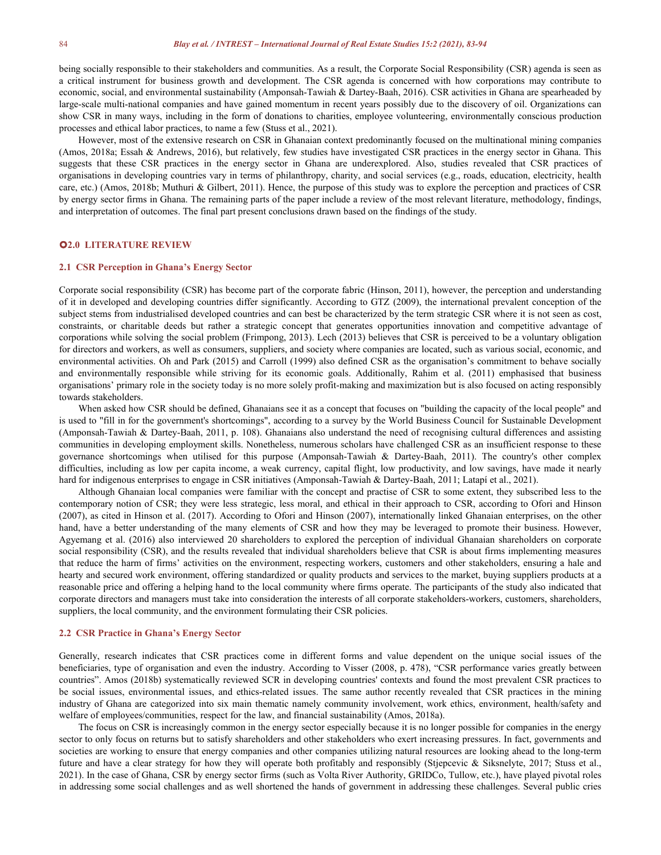being socially responsible to their stakeholders and communities. As a result, the Corporate Social Responsibility (CSR) agenda is seen as a critical instrument for business growth and development. The CSR agenda isconcerned with how corporations may contribute to economic, social, and environmental sustainability (Amponsah-Tawiah & Dartey-Baah, 2016). CSR activities in Ghana are spearheaded by large-scale multi-national companies and have gained momentum in recent years possibly due to the discovery of oil. Organizations can show CSR in many ways, including in the form of donations to charities, employee volunteering, environmentally conscious production processes and ethical labor practices, to name a few (Stuss et al., 2021).

However, most of the extensive research on CSR in Ghanaian context predominantly focused on the multinational mining companies (Amos, 2018a; Essah & Andrews, 2016), but relatively, few studies have investigated CSR practices in the energy sector in Ghana. This suggests that these CSR practices in the energy sector in Ghana are underexplored. Also, studies revealed that CSR practices of organisations in developing countries vary in terms of philanthropy, charity, and social services (e.g., roads, education, electricity, health care, etc.) (Amos, 2018b; Muthuri & Gilbert, 2011). Hence, the purpose of this study was to explore the perception and practices of CSR by energy sector firms in Ghana. The remaining parts of the paper include a review of the most relevant literature, methodology, findings, and interpretation of outcomes. The final part present conclusions drawn based on the findings of the study.

#### **2.0 LITERATURE REVIEW**

#### **2.1 CSR Perception in Ghana's Energy Sector**

Corporate social responsibility (CSR) has become part of the corporate fabric (Hinson,2011), however, the perception and understanding of it in developed and developing countries differ significantly. According to GTZ (2009), the international prevalent conception of the subject stems from industrialised developed countries and can best be characterized by the term strategic CSR where it is not seen as cost, constraints, or charitable deeds but rather a strategic concept that generates opportunities innovation and competitive advantage of corporations while solving the social problem (Frimpong, 2013). Lech (2013) believes that CSR is perceived to be a voluntary obligation for directors and workers, as well as consumers, suppliers, and society where companies are located, such as various social, economic, and environmental activities. Oh and Park (2015) and Carroll (1999) also defined CSR as the organisation's commitment to behave socially and environmentally responsible while striving for its economic goals. Additionally, Rahim et al. (2011) emphasised that business organisations' primary role in the society today is no more solely profit-making and maximization but is also focused on acting responsibly towards stakeholders.

When asked how CSR should be defined, Ghanaians see it as a concept that focuses on "building the capacity of the local people" and is used to "fill in for the government's shortcomings", according to a survey by the World Business Council for Sustainable Development (Amponsah-Tawiah & Dartey-Baah, 2011, p. 108). Ghanaians also understand the need of recognising cultural differences and assisting communities in developing employment skills. Nonetheless, numerous scholars have challenged CSR as an insufficient response to these governance shortcomings when utilised for this purpose (Amponsah-Tawiah & Dartey-Baah, 2011). The country's other complex difficulties, including as low per capita income, a weak currency, capital flight, low productivity, and low savings, have made it nearly hard for indigenous enterprises to engage in CSR initiatives (Amponsah-Tawiah & Dartey-Baah, 2011; Latapí et al., 2021).

Although Ghanaian local companies were familiar with the concept and practise of CSR to some extent, they subscribed less to the contemporary notion of CSR; they were less strategic, less moral, and ethical in their approach to CSR, according to Ofori and Hinson (2007), as cited in Hinson etal. (2017). According to Ofori and Hinson (2007), internationally linked Ghanaian enterprises, on the other hand, have a better understanding of the many elements of CSR and how they may be leveraged to promote their business. However, Agyemang et al. (2016) also interviewed 20 shareholders to explored the perception of individual Ghanaian shareholders on corporate social responsibility (CSR), and the results revealed that individual shareholders believe that CSR is about firms implementing measures that reduce the harm of firms' activities on the environment, respecting workers, customers and other stakeholders, ensuring a hale and hearty and secured work environment, offering standardized or quality products and services to the market, buying suppliers products at a reasonable price and offering a helping hand to the local community where firms operate. The participants of the study also indicated that corporate directors and managers must take into consideration the interests of all corporate stakeholders-workers, customers, shareholders, suppliers, the local community, and the environment formulating their CSR policies.

#### **2.2 CSR Practice in Ghana's Energy Sector**

Generally, research indicates that CSR practices come in different forms and value dependent on the unique social issues of the beneficiaries, type of organisation and even the industry. According to Visser (2008, p. 478), "CSR performance varies greatly between countries". Amos (2018b) systematically reviewed SCR in developing countries' contexts and found the most prevalent CSR practices to be social issues, environmental issues, and ethics-related issues. The same author recently revealed that CSR practices in the mining industry of Ghana are categorized into six main thematic namely community involvement, work ethics, environment, health/safety and welfare of employees/communities, respect for the law, and financial sustainability (Amos, 2018a).

The focus on CSR is increasingly common in the energy sector especially because it is no longer possible for companies in the energy sector to only focus on returns but to satisfy shareholders and other stakeholders who exert increasing pressures. In fact, governments and societies are working to ensure that energy companies and other companies utilizing natural resources are looking ahead to the long-term future and have a clear strategy for how they will operate both profitably and responsibly (Stjepcevic & Siksnelyte, 2017; Stuss et al., 2021). In the case of Ghana, CSR by energy sector firms (such as Volta River Authorit in addressing some social challenges and as well shortened the hands of government in addressing these challenges. Several public cries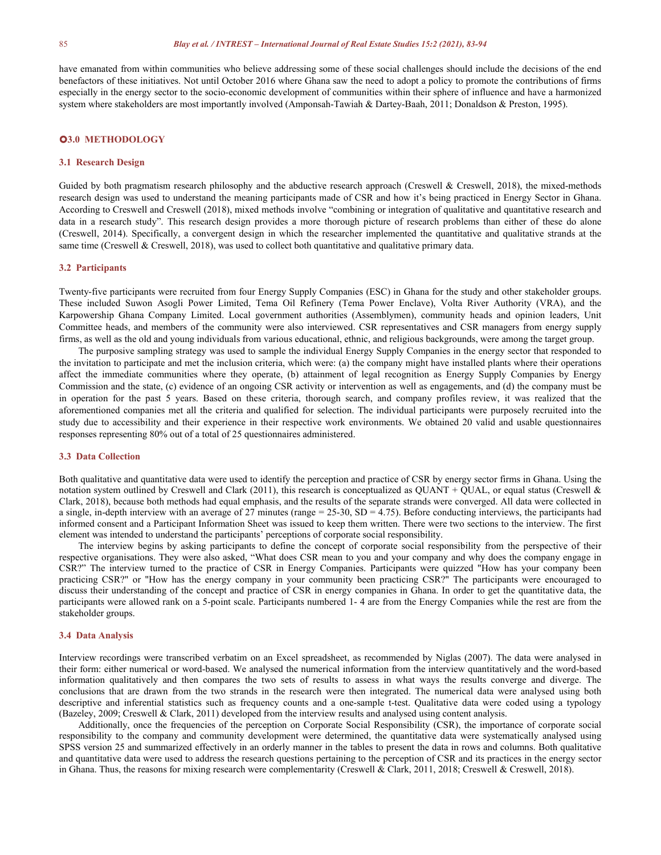have emanated from within communities who believe addressing some of these social challenges should include the decisions of the end benefactors of these initiatives. Not until October 2016 where Ghana saw the need to adopt a policy to promote the contributions of firms especially in the energy sector to the socio-economic development of communities within their sphere of influence and have a harmonized system where stakeholders are most importantly involved (Amponsah-Tawiah & Dartey-Baah, 2011; Donaldson & Preston, 1995).

#### **3.0 METHODOLOGY**

#### **3.1 Research Design**

Guided by both pragmatism research philosophy and the abductive research approach (Creswell & Creswell, 2018), the mixed-methods research design was used to understand the meaning participants made of CSR and how it's being practiced in Energy Sector in Ghana. According to Creswell and Creswell (2018), mixed methods involve "combining or integration of qualitative and quantitative research and data in a research study". This research design provides a more thorough picture of research problems than either of these do alone (Creswell, 2014). Specifically, a convergent design in which the researcher implemented the quantitative and qualitative strands at the same time (Creswell & Creswell, 2018), was used to collect both quantitative and qualitative primary data.

#### **3.2 Participants**

Twenty-five participants were recruited from four Energy Supply Companies (ESC) in Ghana for the study and other stakeholder groups. These included Suwon Asogli Power Limited, Tema Oil Refinery (Tema Power Enclave), Volta River Authority (VRA), and the Karpowership Ghana Company Limited. Local government authorities (Assemblymen), community heads and opinion leaders, Unit Committee heads, and members of the community were also interviewed. CSR representatives and CSR managers from energy supply firms, as well as the old and young individuals from various educational, ethnic, and religious backgrounds, were among the target group.

The purposive sampling strategy was used to sample the individual Energy Supply Companies in the energy sector that responded to the invitation to participate and met the inclusion criteria, which were: (a) the company might have installed plants where their operations affect the immediate communities where they operate, (b) attainment of legal recognition as Energy Supply Companies by Energy Commission and the state, (c) evidence of an ongoing CSR activity or intervention as well as engagements, and (d) the company must be in operation for the past 5 years. Based on these criteria, thorough search, and company profiles review, it was realized that the aforementioned companies met all the criteria and qualified for selection. The individual participants were purposely recruited into the study due to accessibility and their experience in their respective work environments. We obtained 20 valid and usable questionnaires responses representing 80% out of a total of 25 questionnaires administered.

#### **3.3 Data Collection**

Both qualitative and quantitative data were used to identify the perception and practice of CSR by energy sector firms in Ghana. Using the notation system outlined by Creswell and Clark (2011), this research is conceptualized as  $QUANT + OUAL$ , or equal status (Creswell & Clark, 2018), because both methods had equal emphasis, and the results of the separate strands were converged. All data were collected in a single, in-depth interview with an average of 27 minutes (range  $= 25{\text -}30$ , SD = 4.75). Before conducting interviews, the participants had informed consent and a Participant Information Sheet was issued to keep them written. There were two sections to the interview. The first element was intended to understand the participants' perceptions of corporate social responsibility.

The interview begins by asking participants to define the concept of corporate social responsibility from the perspective of their respective organisations. They were also asked, "What does CSR mean to you and your company and why doesthe company engage in CSR?" The interview turned to the practice of CSR in Energy Companies. Participants were quizzed "How has your company been practicing CSR?" or "How has the energy company in your community been practicing CSR?" The participants were encouraged to discuss their understanding of the concept and practice of CSR in energy companies in Ghana. In order to get the quantitative data, the participants were allowed rank on a 5-point scale. Participants numbered 1-4 are from the Energy Companies while the rest are from the stakeholder groups.

#### **3.4 Data Analysis**

Interview recordings were transcribed verbatim on an Excel spreadsheet, as recommended by Niglas (2007). The data were analysed in their form: either numerical or word-based. We analysed the numerical information from the interview quantitatively and the word-based information qualitatively and then compares the two sets of results to assess in what ways the results converge and diverge. The conclusions that are drawn from the two strands in the research were then integrated.The numerical data were analysed using both descriptive and inferential statistics such as frequency counts and a one-sample t-test. Qualitative data were coded using a typology (Bazeley, 2009; Creswell & Clark, 2011) developed from the interview results and analysed using content analysis.

Additionally, once the frequencies of the perception on Corporate Social Responsibility (CSR), the importance of corporate social responsibility to the company and community development were determined, the quantitative data were systematically analysed using SPSS version 25 and summarized effectively in an orderly manner in the tables to present the data in rows and columns. Both qualitative and quantitative data were used to address the research questions pertaining to the perception of CSR and its practices in the energy sector in Ghana. Thus, the reasons for mixing research were complementarity (Creswell & Clark, 2011, 2018; Creswell & Creswell, 2018).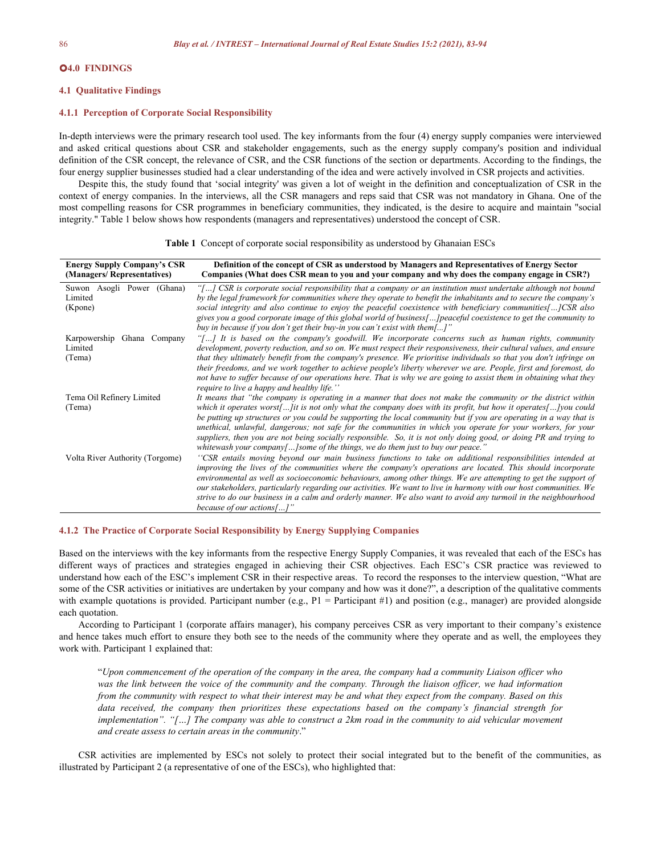#### **4.0 FINDINGS**

#### **4.1 Qualitative Findings**

#### **4.1.1 Perception of Corporate Social Responsibility**

In-depth interviews were the primary research tool used. The key informants from the four (4) energy supply companies were interviewed and asked critical questions about CSR and stakeholder engagements, such as the energy supply company's position and individual definition of the CSR concept, the relevance of CSR, and the CSR functions of the section or departments. According to the findings, the four energy supplier businesses studied had a clear understanding of the idea and were actively involved in CSR projects and activities.

Despite this, the study found that 'social integrity' was given a lot of weight in the definition and conceptualization of CSR in the context of energy companies. In the interviews, all the CSR managers and reps said that CSR was not mandatory in Ghana. One of the most compelling reasons for CSR programmes in beneficiary communities, they indicated, is the desire to acquire and maintain "social integrity." Table 1 below shows how respondents (managers and representatives) understood the concept of CSR.

| <b>Energy Supply Company's CSR</b><br>(Managers/Representatives) | Definition of the concept of CSR as understood by Managers and Representatives of Energy Sector<br>Companies (What does CSR mean to you and your company and why does the company engage in CSR?) |
|------------------------------------------------------------------|---------------------------------------------------------------------------------------------------------------------------------------------------------------------------------------------------|
| Suwon Asogli Power (Ghana)                                       | "[] CSR is corporate social responsibility that a company or an institution must undertake although not bound                                                                                     |
| Limited                                                          | by the legal framework for communities where they operate to benefit the inhabitants and to secure the company's                                                                                  |
| (Kpone)                                                          | social integrity and also continue to enjoy the peaceful coexistence with beneficiary communities[]CSR also                                                                                       |
|                                                                  | gives you a good corporate image of this global world of business [] peaceful coexistence to get the community to<br>buy in because if you don't get their buy-in you can't exist with them[]"    |
| Karpowership Ghana Company                                       | "[] It is based on the company's goodwill. We incorporate concerns such as human rights, community                                                                                                |
| Limited                                                          | development, poverty reduction, and so on. We must respect their responsiveness, their cultural values, and ensure                                                                                |
| (Tema)                                                           | that they ultimately benefit from the company's presence. We prioritise individuals so that you don't infringe on                                                                                 |
|                                                                  | their freedoms, and we work together to achieve people's liberty wherever we are. People, first and foremost, do                                                                                  |
|                                                                  | not have to suffer because of our operations here. That is why we are going to assist them in obtaining what they<br>require to live a happy and healthy life."                                   |
| Tema Oil Refinery Limited                                        | It means that "the company is operating in a manner that does not make the community or the district within                                                                                       |
| (Tema)                                                           | which it operates worst[] it is not only what the company does with its profit, but how it operates[] you could                                                                                   |
|                                                                  | be putting up structures or you could be supporting the local community but if you are operating in a way that is                                                                                 |
|                                                                  | unethical, unlawful, dangerous; not safe for the communities in which you operate for your workers, for your                                                                                      |
|                                                                  | suppliers, then you are not being socially responsible. So, it is not only doing good, or doing PR and trying to                                                                                  |
|                                                                  | whitewash your company[] some of the things, we do them just to buy our peace."                                                                                                                   |
| Volta River Authority (Torgome)                                  | "CSR entails moving beyond our main business functions to take on additional responsibilities intended at                                                                                         |
|                                                                  | improving the lives of the communities where the company's operations are located. This should incorporate                                                                                        |
|                                                                  | environmental as well as socioeconomic behaviours, among other things. We are attempting to get the support of                                                                                    |
|                                                                  | our stakeholders, particularly regarding our activities. We want to live in harmony with our host communities. We                                                                                 |
|                                                                  | strive to do our business in a calm and orderly manner. We also want to avoid any turmoil in the neighbourhood                                                                                    |
|                                                                  | because of our actions[]"                                                                                                                                                                         |

|  |  | <b>Table 1</b> Concept of corporate social responsibility as understood by Ghanaian ESCs |  |  |  |  |
|--|--|------------------------------------------------------------------------------------------|--|--|--|--|
|--|--|------------------------------------------------------------------------------------------|--|--|--|--|

#### **4.1.2 The Practice of Corporate Social Responsibility by Energy Supplying Companies**

Based on the interviews with the key informants from the respective Energy Supply Companies, it was revealed that each of the ESCs has different ways of practices and strategies engaged in achieving their CSR objectives. Each ESC's CSR practice was reviewed to understand how each of the ESC's implement CSR in their respective areas. To record the responses to the interview question, "What are some of the CSR activities or initiatives are undertaken by your company and how was it done?", a description of the qualitative comments with example quotations is provided. Participant number (e.g.,  $P1 =$  Participant #1) and position (e.g., manager) are provided alongside each quotation.

According to Participant 1 (corporate affairs manager), his company perceives CSR as very important to their company's existence and hence takes much effort to ensure they both see to the needs of the community where they operate and as well, the employees they work with. Participant 1 explained that:

"Upon commencement of the operation of the company in the area, the company had a community Liaison officer who was the link between the voice of the community and the company. Through the liaison officer, we had information from the community with respect to what their interest may be and what they expect from the company. Based on this *data received, the company then prioritizes these expectations based on the company's financial strength for* implementation". "[...] The company was able to construct a  $2km$  road in the community to aid vehicular movement *and create assess to certain areas in the community*."

CSR activities are implemented by ESCs not solely to protect their social integrated but to the benefit of the communities, as illustrated by Participant 2 (a representative of one of the ESCs), who highlighted that: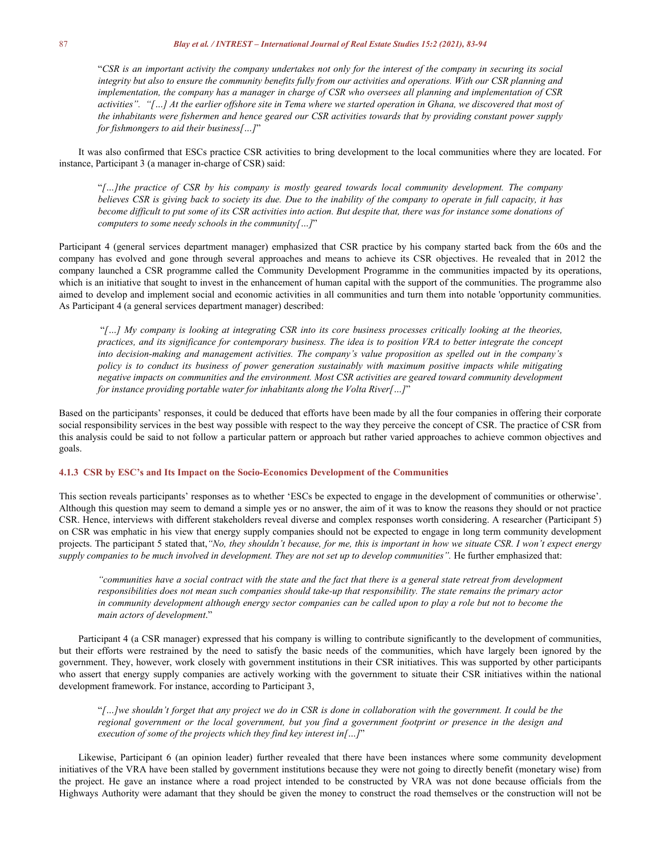"CSR is an important activity the company undertakes not only for the interest of the company in securing its social integrity but also to ensure the community benefits fully from our activities and operations. With our CSR planning and implementation, the company has a manager in charge of CSR who oversees all planning and implementation of CSR activities". "[...] At the earlier offshore site in Tema where we started operation in Ghana, we discovered that most of the inhabitants were fishermen and hence geared our CSR activities towards that by providing constant power supply *for fishmongers to aid their business[...]*"

It was also confirmed that ESCs practice CSR activities to bring development to the local communities where they are located. For instance, Participant 3 (a manager in-charge of CSR) said:

"*[…]the practice of CSR by his company is mostly geared towards local community development. The company* believes CSR is giving back to society its due. Due to the inability of the company to operate in full capacity, it has become difficult to put some of its CSR activities into action. But despite that, there was for instance some donations of *computers to some needy schools in the community[…]*"

Participant 4 (general services department manager) emphasized that CSR practice by his company started back from the 60s and the company has evolved and gone through several approaches and means to achieve its CSR objectives. He revealed that in 2012 the company launched a CSR programme called the Community Development Programme in the communities impacted by its operations, which is an initiative that sought to invest in the enhancement of human capital with the support of the communities. The programme also aimed to develop and implement social and economic activities in all communities and turn them into notable 'opportunity communities. As Participant 4 (a general services department manager) described:

"[...] My company is looking at integrating CSR into its core business processes critically looking at the theories, practices, and its significance for contemporary business. The idea is to position VRA to better integrate the concept *into decision-making and management activities. The company's value proposition as spelled out in the company's policy is to conduct its business of power generation sustainably with maximum positive impacts while mitigating negative impacts on communities and the environment. Most CSR activities are geared toward community development for instance providing portable water for inhabitants along the Volta River[…]*"

Based on the participants' responses, it could be deduced that efforts have been made by all the four companies in offering their corporate social responsibility services in the best way possible with respect to the way they perceive the concept of CSR. The practice of CSR from this analysis could be said to not follow a particular pattern or approach but rather varied approaches to achieve common objectives and goals.

#### **4.1.3 CSR by ESC's and Its Impact on the Socio-Economics Development of the Communities**

This section reveals participants' responses as to whether 'ESCs be expected to engage in the development of communities orotherwise'. Although this question may seem to demand a simple yes orno answer, the aim of it was to know the reasons they should or not practice CSR. Hence, interviews with different stakeholders reveal diverse and complex responses worth considering. A researcher (Participant 5) on CSR was emphatic in his view that energy supply companies should not be expected to engage in long term community development projects. The participant 5 stated that, "No, they shouldn't because, for me, this is important in how we situate CSR. I won't expect energy supply companies to be much involved in development. They are not set up to develop communities". He further emphasized that:

"communities have a social contract with the state and the fact that there is a general state retreat from development responsibilities does not mean such companies should take-up that responsibility. The state remains the primary actor in community development although energy sector companies can be called upon to play a role but not to become the *main actors of development*."

Participant 4 (a CSR manager) expressed that his company is willing to contribute significantly to the development of communities, but their efforts were restrained by the need to satisfy the basic needs of the communities, which have largely been ignored by the government. They, however, work closely with government institutions in their CSR initiatives. This was supported by other participants who assert that energy supply companies are actively working with the government to situate their CSR initiatives within the national development framework. For instance, according to Participant 3,

"[...] we shouldn't forget that any project we do in CSR is done in collaboration with the government. It could be the regional government or the local government, but you find a government footprint or presence in the design and *execution of some of the projects which they find key interest in[…]*"

Likewise, Participant 6 (an opinion leader) further revealed that there have been instances where some community development initiatives ofthe VRA have been stalled by government institutions because they were not going to directly benefit (monetary wise) from the project. He gave an instance where a road project intended to be constructed by VRA was not done because officials from the Highways Authority were adamant that they should be given the money to construct the road themselves or the construction will not be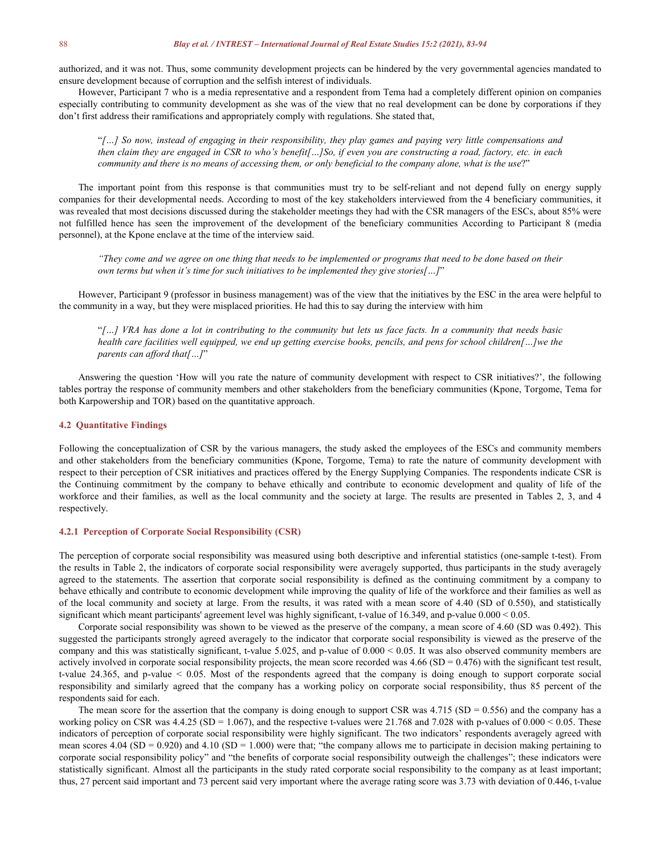authorized, and it was not. Thus, some community development projects can be hindered by the very governmental agencies mandated to ensure development because of corruption and the selfish interest of individuals.

However, Participant 7 who is a media representative and a respondent from Tema had a completely different opinion on companies especially contributing to community development as she was of the view that no real development can be done by corporations if they don't first address their ramifications and appropriately comply with regulations. She stated that,

"[...] So now, instead of engaging in their responsibility, they play games and paying very little compensations and then claim they are engaged in CSR to who's benefit[...]So, if even you are constructing a road, factory, etc. in each community and there is no means of accessing them, or only beneficial to the company alone, what is the use?"

The important point from this response is that communities must try to be self-reliant and not depend fully on energy supply companies for their developmental needs. According to most of the key stakeholders interviewed from the 4 beneficiary communities, it was revealed that most decisions discussed during the stakeholder meetings they had with the CSR managers ofthe ESCs, about 85% were not fulfilled hence has seen the improvement of the development of the beneficiary communities According to Participant 8 (media personnel), at the Kpone enclave at the time of the interview said.

"They come and we agree on one thing that needs to be implemented or programs that need to be done based on their *own terms but when it's time for such initiatives to be implemented they give stories[…]*"

However, Participant 9 (professor in business management) was of the view that the initiatives by the ESC in the area were helpful to the community in a way, but they were misplaced priorities. He had this to say during the interview with him

"[...] VRA has done a lot in contributing to the community but lets us face facts. In a community that needs basic health care facilities well equipped, we end up getting exercise books, pencils, and pens for school children[...]we the *parents can af ord that[…]*"

Answering the question 'How will you rate the nature of community development with respect to CSR initiatives?', the following tables portray the response of community members and other stakeholders from the beneficiary communities (Kpone, Torgome, Tema for both Karpowership and TOR) based on the quantitative approach.

#### **4.2 Quantitative Findings**

Following the conceptualization of CSR by the various managers, the study asked the employees of the ESCs and community members and other stakeholders from the beneficiary communities (Kpone, Torgome, Tema) to rate the nature of community development with respect to their perception of CSR initiatives and practices offered by the Energy Supplying Companies. The respondents indicate CSR is the Continuing commitment by the company to behave ethically and contribute to economic development and quality of life of the workforce and their families, as well as the local community and the society at large. The results are presented in Tables 2, 3, and 4 respectively.

#### **4.2.1 Perception of Corporate Social Responsibility (CSR)**

The perception of corporate social responsibility was measured using both descriptive and inferential statistics (one-sample t-test). From the results in Table 2, the indicators of corporate social responsibility were averagely supported, thus participants in the study averagely agreed to the statements. The assertion that corporate social responsibility is defined as the continuing commitment by a company to behave ethically and contribute to economic development while improving the quality of life of the workforce and their families as well as of the local community and society at large. From the results, it was rated with a mean score of 4.40 (SD of 0.550), and statistically significant which meant participants' agreement level was highly significant, t-value of 16.349, and p-value 0.000 < 0.05.

Corporate social responsibility was shown to be viewed as the preserve of the company, a mean score of 4.60 (SD was 0.492). This suggested the participants strongly agreed averagely to the indicator that corporate social responsibility is viewed as the preserve of the company and this was statistically significant, t-value 5.025, and p-value of  $0.000 < 0.05$ . It was also observed community members are actively involved in corporate social responsibility projects, the mean score recorded was  $4.66(SD = 0.476)$  with the significant test result, t-value 24.365, and p-value < 0.05. Most of the respondents agreed that the company is doing enough to support corporate social responsibility and similarly agreed that the company has a working policy on corporate social responsibility, thus 85 percent of the respondents said for each.

The mean score for the assertion that the company is doing enough to support CSR was  $4.715$  (SD = 0.556) and the company has a working policy on CSR was  $4.4.25$  (SD = 1.067), and the respective t-values were  $21.768$  and  $7.028$  with p-values of  $0.000 < 0.05$ . These indicators of perception of corporate social responsibility were highly significant. The two indicators' respondents averagely agreed with mean scores 4.04 (SD = 0.920) and 4.10 (SD = 1.000) were that; "the company allows me to participate in decision making pertaining to corporate social responsibility policy" and "the benefits of corporate social responsibility outweigh the challenges"; these indicators were statistically significant. Almost all the participants in the study rated corporate social responsibility to the company as at least important; thus, 27 percent said important and 73 percent said very important where the average rating score was 3.73 with deviation of 0.446, t-value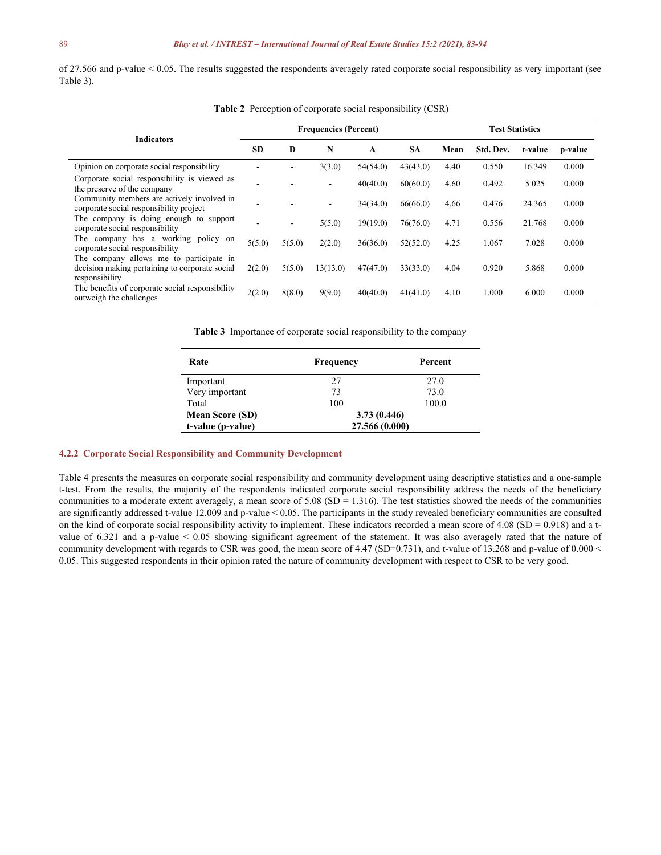of 27.566 and p-value < 0.05. The results suggested the respondents averagely rated corporate social responsibility as very important (see Table 3).

| <b>Indicators</b>                                                                                           | <b>Frequencies (Percent)</b> |        |                          |          | <b>Test Statistics</b> |      |           |         |         |
|-------------------------------------------------------------------------------------------------------------|------------------------------|--------|--------------------------|----------|------------------------|------|-----------|---------|---------|
|                                                                                                             | <b>SD</b>                    | D      | N                        | A        | <b>SA</b>              | Mean | Std. Dev. | t-value | p-value |
| Opinion on corporate social responsibility                                                                  |                              |        | 3(3.0)                   | 54(54.0) | 43(43.0)               | 4.40 | 0.550     | 16.349  | 0.000   |
| Corporate social responsibility is viewed as<br>the preserve of the company                                 |                              |        | $\overline{\phantom{a}}$ | 40(40.0) | 60(60.0)               | 4.60 | 0.492     | 5.025   | 0.000   |
| Community members are actively involved in<br>corporate social responsibility project                       |                              |        | $\overline{\phantom{a}}$ | 34(34.0) | 66(66.0)               | 4.66 | 0.476     | 24.365  | 0.000   |
| The company is doing enough to support<br>corporate social responsibility                                   |                              | -      | 5(5.0)                   | 19(19.0) | 76(76.0)               | 4.71 | 0.556     | 21.768  | 0.000   |
| The company has a working policy on<br>corporate social responsibility                                      | 5(5.0)                       | 5(5.0) | 2(2.0)                   | 36(36.0) | 52(52.0)               | 4.25 | 1.067     | 7.028   | 0.000   |
| The company allows me to participate in<br>decision making pertaining to corporate social<br>responsibility | 2(2.0)                       | 5(5.0) | 13(13.0)                 | 47(47.0) | 33(33.0)               | 4.04 | 0.920     | 5.868   | 0.000   |
| The benefits of corporate social responsibility<br>outweigh the challenges                                  | 2(2.0)                       | 8(8.0) | 9(9.0)                   | 40(40.0) | 41(41.0)               | 4.10 | 1.000     | 6.000   | 0.000   |

**Table 2** Perception of corporate social responsibility (CSR)

**Table 3** Importance of corporate social responsibility to the company

| Rate                   | Frequency      | Percent |
|------------------------|----------------|---------|
| Important              | 27             | 27.0    |
| Very important         | 73             | 73.0    |
| Total                  | 100            | 100.0   |
| <b>Mean Score (SD)</b> | 3.73(0.446)    |         |
| t-value (p-value)      | 27.566 (0.000) |         |

#### **4.2.2 Corporate Social Responsibility and Community Development**

Table 4 presents the measures on corporate social responsibility and community development using descriptive statistics and a one-sample t-test. From the results, the majority of the respondents indicated corporate social responsibility address the needs of the beneficiary communities to a moderate extent averagely, a mean score of  $5.08$  (SD = 1.316). The test statistics showed the needs of the communities are significantly addressed t-value 12.009 and p-value < 0.05. The participants in the study revealed beneficiary communities are consulted on the kind of corporate social responsibility activity to implement. These indicators recorded a mean score of  $4.08$  (SD = 0.918) and a tvalue of 6.321 and a p-value < 0.05 showing significant agreement of the statement. It was also averagely rated that the nature of community development with regards to CSR was good, the mean score of 4.47 (SD=0.731), and t-value of 13.268 and p-value of 0.000 < 0.05. This suggested respondents in their opinion rated the nature of community development with respect to CSR to be very good.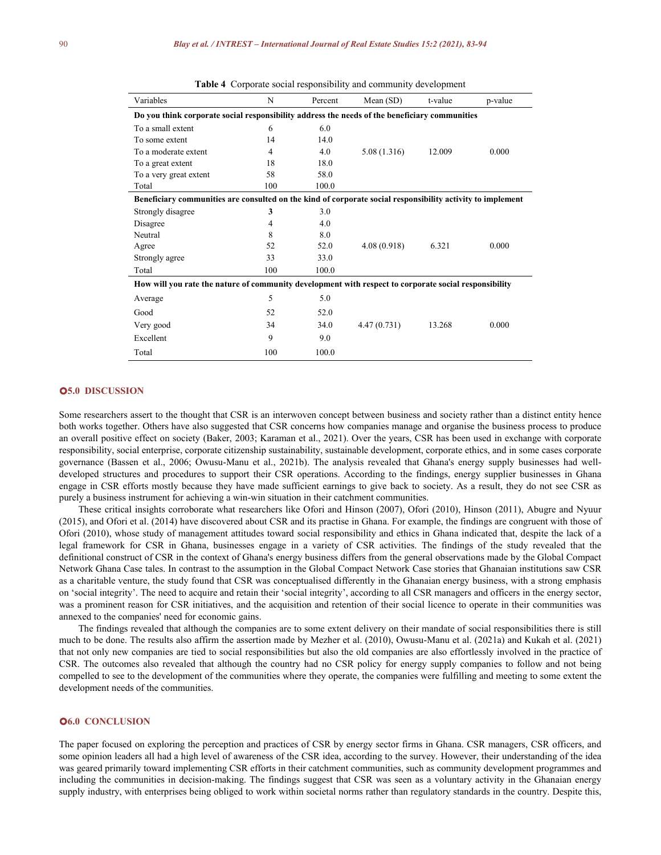| Variables                                                                                                  | N   | Percent | Mean(SD)    | t-value | p-value |  |  |  |
|------------------------------------------------------------------------------------------------------------|-----|---------|-------------|---------|---------|--|--|--|
| Do you think corporate social responsibility address the needs of the beneficiary communities              |     |         |             |         |         |  |  |  |
| To a small extent                                                                                          | 6   | 6.0     |             |         |         |  |  |  |
| To some extent                                                                                             | 14  | 14.0    |             |         |         |  |  |  |
| To a moderate extent                                                                                       | 4   | 4.0     | 5.08(1.316) | 12.009  | 0.000   |  |  |  |
| To a great extent                                                                                          | 18  | 18.0    |             |         |         |  |  |  |
| To a very great extent                                                                                     | 58  | 58.0    |             |         |         |  |  |  |
| Total                                                                                                      | 100 | 100.0   |             |         |         |  |  |  |
| Beneficiary communities are consulted on the kind of corporate social responsibility activity to implement |     |         |             |         |         |  |  |  |
| Strongly disagree                                                                                          | 3   | 3.0     |             |         |         |  |  |  |
| Disagree                                                                                                   | 4   | 4.0     |             |         |         |  |  |  |
| Neutral                                                                                                    | 8   | 8.0     |             |         |         |  |  |  |
| Agree                                                                                                      | 52  | 52.0    | 4.08(0.918) | 6.321   | 0.000   |  |  |  |
| Strongly agree                                                                                             | 33  | 33.0    |             |         |         |  |  |  |
| Total                                                                                                      | 100 | 100.0   |             |         |         |  |  |  |
| How will you rate the nature of community development with respect to corporate social responsibility      |     |         |             |         |         |  |  |  |
| Average                                                                                                    | 5   | 5.0     |             |         |         |  |  |  |
| Good                                                                                                       | 52  | 52.0    |             |         |         |  |  |  |
| Very good                                                                                                  | 34  | 34.0    | 4.47(0.731) | 13.268  | 0.000   |  |  |  |
| Excellent                                                                                                  | 9   | 9.0     |             |         |         |  |  |  |
| Total                                                                                                      | 100 | 100.0   |             |         |         |  |  |  |

**Table 4** Corporate social responsibility and community development

#### **5.0 DISCUSSION**

Some researchers assert to the thought that CSR is an interwoven concept between business and society rather than a distinct entity hence both works together. Others have also suggested that CSR concerns how companies manage and organise the business process to produce an overall positive effect on society (Baker, 2003; Karaman et al., 2021). Over the years, CSR has been used in exchange with corporate responsibility, social enterprise, corporate citizenship sustainability, sustainable development, corporate ethics, and in some cases corporate governance (Bassen et al., 2006; Owusu-Manu et al., 2021b). The analysis revealed that Ghana's energy supply businesses had well developed structures and procedures to support their CSR operations. According to the findings, energy supplier businesses in Ghana engage in CSR efforts mostly because they have made sufficient earnings to give back to society. As a result, they do not see CSR as purely a business instrument for achieving a win-win situation in their catchment communities.

These critical insights corroborate what researchers like Ofori and Hinson (2007), Ofori (2010), Hinson (2011), Abugre and Nyuur (2015), and Ofori et al. (2014) have discovered about CSR and its practise in Ghana. For example, the findings are congruent with those of Ofori (2010), whose study of management attitudes toward social responsibility and ethics in Ghana indicated that, despite the lack of a legal framework for CSR in Ghana, businesses engage in a variety of CSR activities. The findings of the study revealed that the definitional construct of CSR in the context of Ghana's energy business differs from the generalobservations made by the Global Compact Network Ghana Case tales. In contrast to the assumption in the Global Compact Network Case stories that Ghanaian institutions saw CSR as a charitable venture, the study found that CSR was conceptualised differently in the Ghanaian energy business, with a strong emphasis on 'social integrity'. The need to acquire and retain their 'social integrity', according to all CSR managers and officers in the energy sector, was a prominent reason for CSR initiatives, and the acquisition and retention of their social licence to operate in their communities was annexed to the companies' need for economic gains.

The findings revealed that although the companies are to some extent delivery on their mandate of social responsibilities there isstill much to be done. The results also affirm the assertion made by Mezher etal. (2010), Owusu-Manu et al. (2021a) and Kukah et al. (2021) that not only new companies are tied to social responsibilities but also the old companies are also effortlessly involved in the practice of CSR. The outcomes also revealed that although the country had no CSR policy for energy supply companies to follow and not being compelled to see to the development of the communities where they operate, the companies were fulfilling and meeting to some extent the development needs of the communities.

#### **6.0 CONCLUSION**

The paper focused on exploring the perception and practices of CSR by energy sector firms in Ghana. CSR managers, CSR officers, and some opinion leaders all had a high level of awareness of the CSR idea, according to the survey. However, their understanding of the idea was geared primarily toward implementing CSR efforts in their catchment communities, such as community development programmes and including the communities in decision-making. The findings suggest that CSR was seen as a voluntary activity in the Ghanaian energy supply industry, with enterprises being obliged to work within societal norms rather than regulatory standards in the country. Despite this,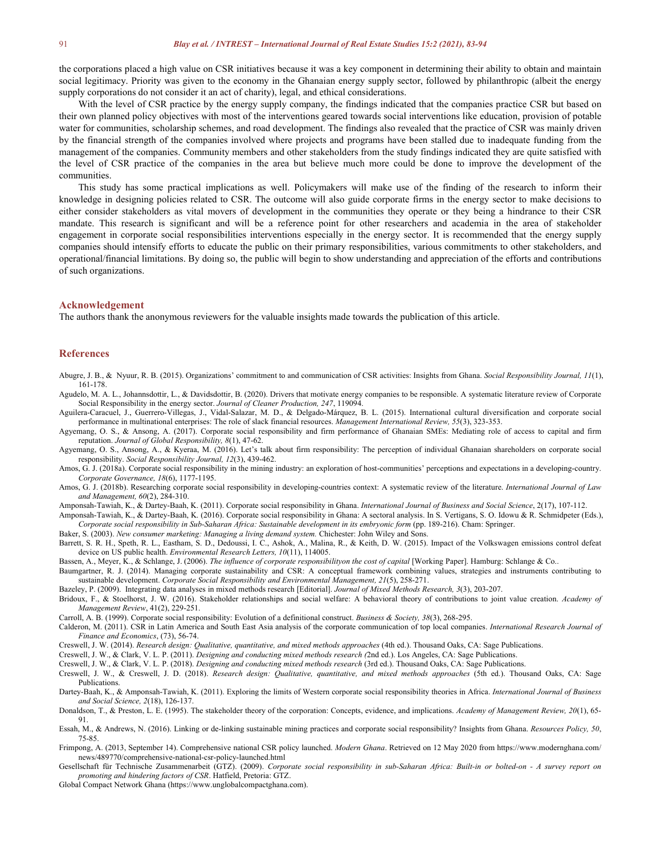the corporations placed a high value on CSR initiatives because it was a key component in determining their ability to obtain and maintain social legitimacy. Priority was given to the economy in the Ghanaian energy supply sector, followed by philanthropic (albeit the energy supply corporations do not consider it an act of charity), legal, and ethical considerations.

With the level of CSR practice by the energy supply company, the findings indicated that the companies practice CSR but based on their own planned policy objectives with most of the interventions geared towards social interventions like education, provision of potable water for communities, scholarship schemes, and road development. The findings also revealed that the practice of CSR was mainly driven by the financial strength of the companies involved where projects and programs have been stalled due to inadequate funding from the management of the companies. Community members and other stakeholders from the study findings indicated they are quite satisfied with the level of CSR practice of the companies in the area but believe much more could be done to improve the development of the communities.

This study has some practical implications as well. Policymakers will make use of the finding of the research to inform their knowledge in designing policies related to CSR. The outcome will also guide corporate firms in the energy sector to make decisions to either consider stakeholders as vital movers of development in the communities they operate or they being a hindrance to their CSR mandate. This research is significant and will be a reference point for other researchers and academia in the area of stakeholder engagement in corporate social responsibilities interventions especially in the energy sector. It is recommended that the energy supply companies should intensify efforts to educate the public on their primary responsibilities, various commitments to other stakeholders, and operational/financial limitations. By doing so, the public will begin to show understanding and appreciation of the efforts and contributions of such organizations.

#### **Acknowledgement**

The authors thank the anonymous reviewers for the valuable insights made towards the publication of this article.

#### **References**

Abugre, J. B., & Nyuur, R. B. (2015). Organizations' commitment to and communication of CSR activities: Insights from Ghana. *Social Responsibility Journal, 11*(1), 161-178.

- Agudelo, M. A. L., Johannsdottir, L., & Davidsdottir, B. (2020). Drivers that motivate energy companies to be responsible. A systematic literature review of Corporate Social Responsibility in the energy sector. *Journal of Cleaner Production, 247*, 119094.
- Aguilera-Caracuel, J., Guerrero-Villegas, J., Vidal-Salazar, M. D., & Delgado-Márquez, B. L. (2015). International cultural diversification and corporate social performance in multinational enterprises: The role of slack financial resources. *Management International Review, 55*(3), 323-353.
- Agyemang, O. S., & Ansong, A. (2017). Corporate social responsibility and firm performance of Ghanaian SMEs: Mediating role of access to capital and firm reputation. *Journal of Global Responsibility, 8*(1), 47-62.
- Agyemang, O. S., Ansong, A., & Kyeraa, M. (2016). Let's talk about firm responsibility: The perception of individual Ghanaian shareholders on corporate social responsibility. *Social Responsibility Journal,12*(3), 439-462.
- Amos, G. J. (2018a). Corporate social responsibility in the mining industry: an exploration of host-communities' perceptions and expectations in a developing-country. *Corporate Governance, 18*(6), 1177-1195.
- Amos, G. J. (2018b). Researching corporate social responsibility in developing-countries context: A systematic review of the literature. *International Journal of Law and Management, 60*(2), 284-310.
- Amponsah-Tawiah, K., & Dartey-Baah, K. (2011).Corporate social responsibility in Ghana. *International Journal of Business and Social Science*, 2(17), 107-112.

Amponsah-Tawiah, K., & Dartey-Baah, K. (2016).Corporate social responsibility in Ghana: A sectoral analysis. In S. Vertigans, S. O. Idowu & R. Schmidpeter (Eds.), *Corporate social responsibility in Sub-Saharan Africa: Sustainable development in its embryonic form* (pp. 189-216). Cham: Springer.

Baker, S. (2003). *New consumer marketing: Managing a living demand system.* Chichester: John Wiley and Sons.

Barrett, S. R. H., Speth, R. L., Eastham, S. D., Dedoussi, I. C., Ashok, A., Malina, R., & Keith, D. W. (2015). Impact of the Volkswagen emissions control defeat device on US public health. *Environmental Research Letters, 10*(11), 114005.

Bassen, A., Meyer, K., & Schlange, J. (2006). *The influence of corporate responsibilityon the cost of capital* [Working Paper]. Hamburg: Schlange & Co..

- Baumgartner, R. J. (2014). Managing corporate sustainability and CSR: A conceptual framework combining values, strategies and instruments contributing to sustainable development. *Corporate Social Responsibility and Environmental Management, 21*(5), 258-271.
- Bazeley, P. (2009). Integrating data analyses in mixed methods research [Editorial]. *Journal of Mixed Methods Research, 3*(3), 203-207.
- Bridoux, F., & Stoelhorst, J. W. (2016). Stakeholder relationships and social welfare: A behavioral theory of contributions to joint value creation. *Academy of Management Review*, 41(2), 229-251.
- Carroll, A. B. (1999). Corporate social responsibility: Evolution of a definitional construct. *Business & Society, 38*(3), 268-295.
- Calderon, M. (2011). CSR in Latin America and South East Asia analysis of the corporate communication of top local companies. *International Research Journal of Finance and Economics*, (73), 56-74.
- Creswell, J. W. (2014). *Research design: Qualitative, quantitative, and mixed methods approaches* (4th ed.). Thousand Oaks, CA: Sage Publications.
- Creswell, J. W., & Clark, V. L. P. (2011). *Designing and conducting mixed methods research (*2nd ed.). Los Angeles, CA: Sage Publications.
- Creswell, J. W., & Clark, V. L. P. (2018). *Designing and conducting mixed methods research* (3rd ed.). Thousand Oaks, CA: Sage Publications.
- Creswell, J. W., & Creswell, J. D. (2018). *Research design: Qualitative, quantitative, and mixed methods approaches* (5th ed.). Thousand Oaks, CA: Sage Publications.
- Dartey-Baah, K., & Amponsah-Tawiah, K. (2011). Exploring the limits of Western corporate social responsibility theories in Africa. *International Journal of Business and Social Science, 2*(18), 126-137.
- Donaldson, T., & Preston, L. E. (1995). The stakeholder theory of the corporation: Concepts, evidence, and implications. *Academy of Management Review, 20*(1), 65- 91.
- Essah, M., & Andrews, N. (2016). Linking or de-linking sustainable mining practices and corporate social responsibility? Insights from Ghana. *Resources Policy, 50*, 75-85.
- Frimpong, A. (2013, September 14). Comprehensive national CSR policy launched. *Modern Ghana*. Retrieved on 12 May 2020 from https://www.modernghana.com/ news/489770/comprehensive-national-csr-policy-launched.html
- Gesellschaft für Technische Zusammenarbeit (GTZ). (2009). Corporate social responsibility in sub-Saharan Africa: Built-in or bolted-on A survey report on *promoting and hindering factors of CSR*. Hatfield, Pretoria: GTZ.

Global Compact Network Ghana (https://www.unglobalcompactghana.com).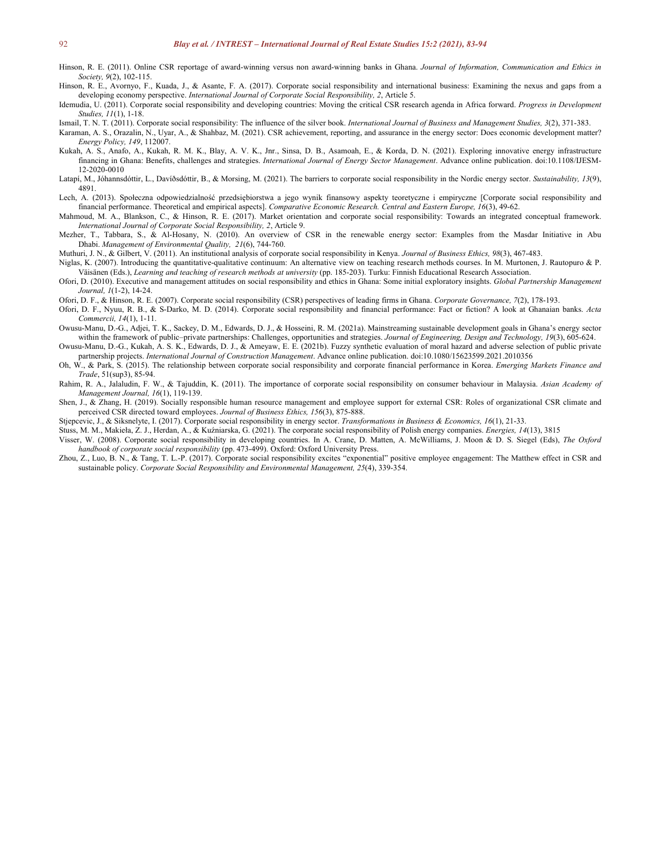- Hinson, R. E. (2011). Online CSR reportage of award-winning versus non award-winning banks in Ghana. *Journal of Information, Communication and Ethics in Society, 9*(2), 102-115.
- Hinson, R. E., Avornyo, F., Kuada, J., & Asante, F. A. (2017). Corporate social responsibility and international business: Examining the nexus and gaps from a developing economy perspective. *International Journal of Corporate Social Responsibility, 2*, Article 5.
- Idemudia, U. (2011). Corporate social responsibility and developing countries: Moving the critical CSR research agenda in Africa forward. *Progress in Development Studies, 11*(1), 1-18.
- Ismail, T. N. T. (2011). Corporate social responsibility: The influence of the silver book. *International Journal of Business and Management Studies, 3*(2), 371-383.

Karaman, A. S., Orazalin, N., Uyar, A., & Shahbaz, M. (2021). CSR achievement, reporting, and assurance in the energy sector: Does economic development matter? *Energy Policy, 149*, 112007.

- Kukah, A. S., Anafo, A., Kukah, R. M. K., Blay, A. V. K., Jnr., Sinsa, D. B., Asamoah, E., & Korda, D. N. (2021). Exploring innovative energy infrastructure financing in Ghana:Benefits, challenges and strategies. *International Journal of Energy Sector Management*. Advance online publication. doi:10.1108/IJESM- 12-2020-0010
- Latapí, M., Jóhannsdóttir, L., Davíðsdóttir, B., & Morsing, M. (2021). The barriers to corporate social responsibility in the Nordic energy sector. *Sustainability, 13*(9), 4891.
- Lech, A. (2013). Społeczna odpowiedzialność przedsiębiorstwa a jego wynik finansowy aspekty teoretyczne i empiryczne [Corporate social responsibility and financial performance. Theoretical and empirical aspects]. *Comparative Economic Research. Central and Eastern Europe, 16*(3), 49-62.
- Mahmoud, M. A., Blankson, C., & Hinson, R. E. (2017). Market orientation and corporate social responsibility: Towards an integrated conceptual framework. *International Journal of Corporate Social Responsibility, 2*, Article 9.
- Mezher, T., Tabbara, S., & Al-Hosany, N. (2010). An overview of CSR in the renewable energy sector: Examples from the Masdar Initiative in Abu Dhabi. *Management of Environmental Quality, 21*(6), 744-760.

Muthuri, J. N., & Gilbert, V. (2011). An institutional analysis ofcorporate social responsibility in Kenya. *Journal of Business Ethics, 98*(3), 467-483.

- Niglas, K. (2007). Introducing the quantitative-qualitative continuum: An alternative view on teaching research methods courses. In M. Murtonen, J. Rautopuro & P. Väisänen (Eds.), *Learning and teaching of research methods at university* (pp. 185-203). Turku: Finnish Educational Research Association.
- Ofori, D. (2010). Executive and management attitudes on social responsibility and ethics in Ghana: Some initial exploratory insights. *Global Partnership Management Journal, 1*(1-2), 14-24.
- Ofori, D. F., & Hinson, R. E. (2007). Corporate social responsibility (CSR) perspectives ofleading firms in Ghana. *Corporate Governance, 7*(2), 178-193.
- Ofori, D. F., Nyuu, R. B., & S-Darko, M. D. (2014). Corporate social responsibility and financial performance: Fact or fiction? A look at Ghanaian banks. *Acta Commercii, 14*(1), 1-11.
- Owusu-Manu, D.-G., Adjei, T. K., Sackey, D. M., Edwards, D. J., & Hosseini, R. M. (2021a). Mainstreaming sustainable development goals in Ghana's energy sector within the framework of public–private partnerships: Challenges, opportunities and strategies. *Journal of Engineering, Design and Technology, 19*(3), 605-624.
- Owusu-Manu, D.-G., Kukah, A. S. K., Edwards, D. J., & Ameyaw, E. E. (2021b). Fuzzy synthetic evaluation of moral hazard and adverse selection of public private partnership projects. *International Journal of Construction Management*. Advance online publication. doi:10.1080/15623599.2021.2010356
- Oh, W., & Park, S. (2015). The relationship between corporate social responsibility and corporate financial performance in Korea. *Emerging Markets Finance and Trade*, 51(sup3), 85-94.
- Rahim, R. A., Jalaludin, F. W., & Tajuddin, K. (2011). The importance of corporate social responsibility on consumer behaviour in Malaysia. *Asian Academy of Management Journal, 16*(1), 119-139.
- Shen, J., & Zhang, H. (2019). Socially responsible human resource management and employee support for external CSR: Roles of organizational CSR climate and perceived CSR directed toward employees. *Journal of Business Ethics, 156*(3), 875-888.
- Stjepcevic, J., & Siksnelyte, I. (2017). Corporate social responsibility in energy sector. *Transformations in Business & Economics, 16*(1), 21-33.
- Stuss, M. M., Makieła, Z. J., Herdan, A., & Kuźniarska, G. (2021). The corporate social responsibility of Polish energy companies. *Energies, 14*(13), 3815
- Visser, W. (2008). Corporate social responsibility in developing countries. In A. Crane, D. Matten, A. McWilliams, J. Moon & D. S. Siegel (Eds), *The Oxford handbook of corporate social responsibility* (pp. 473-499). Oxford: Oxford University Press.
- Zhou, Z., Luo, B. N., & Tang, T. L.-P. (2017). Corporate social responsibility excites "exponential" positive employee engagement: The Matthew effect in CSR and sustainable policy. *Corporate Social Responsibility and Environmental Management, 25*(4), 339-354.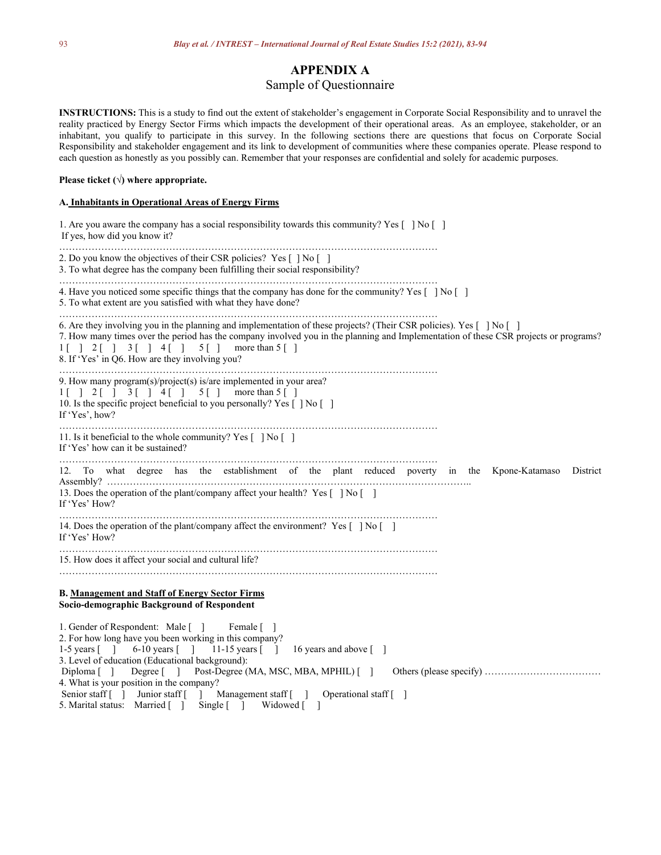## **APPENDIX A**

## Sample of Questionnaire

INSTRUCTIONS: This is a study to find out the extent of stakeholder's engagement in Corporate Social Responsibility and to unravel the reality practiced by Energy Sector Firms which impacts the development of their operational areas. As an employee, stakeholder, or an inhabitant, you qualify to participate in this survey. In the following sections there are questions that focus on Corporate Social Responsibility and stakeholder engagement and its link to development of communities where these companies operate. Please respond to each question as honestly as you possibly can. Remember that your responses are confidential and solely for academic purposes.

#### **Please ticket (√) where appropriate.**

#### **A. Inhabitants in Operational Areas ofEnergy Firms**

| 1. Are you aware the company has a social responsibility towards this community? Yes $\lceil \ \rceil \text{No} \rceil$<br>If yes, how did you know it?                                                                                                                                                                                                                                                                                                                            |
|------------------------------------------------------------------------------------------------------------------------------------------------------------------------------------------------------------------------------------------------------------------------------------------------------------------------------------------------------------------------------------------------------------------------------------------------------------------------------------|
| 2. Do you know the objectives of their CSR policies? Yes [ ] No [ ]<br>3. To what degree has the company been fulfilling their social responsibility?                                                                                                                                                                                                                                                                                                                              |
| 4. Have you noticed some specific things that the company has done for the community? Yes $\lceil \ \rceil$ No $\lceil \ \rceil$<br>5. To what extent are you satisfied with what they have done?                                                                                                                                                                                                                                                                                  |
| 6. Are they involving you in the planning and implementation of these projects? (Their CSR policies). Yes [ ] No [ ]<br>7. How many times over the period has the company involved you in the planning and Implementation of these CSR projects or programs?<br>$1 \begin{bmatrix} 1 & 2 & 1 \\ 3 & 1 & 3 \end{bmatrix}$ $1 \begin{bmatrix} 4 & 1 \\ 1 & 5 & 1 \end{bmatrix}$ more than $5 \begin{bmatrix} 1 \\ 1 \end{bmatrix}$<br>8. If 'Yes' in Q6. How are they involving you? |
| 9. How many program(s)/project(s) is/are implemented in your area?<br>$1[ ] 2[ ] 3[ ] 4[ ] 5[ ]$ more than $5[ ]$<br>10. Is the specific project beneficial to you personally? Yes [] No []<br>If 'Yes', how?                                                                                                                                                                                                                                                                      |
| 11. Is it beneficial to the whole community? Yes [ ] No [ ]<br>If 'Yes' how can it be sustained?                                                                                                                                                                                                                                                                                                                                                                                   |
| 12. To what degree has the establishment of the plant reduced poverty in the Kpone-Katamaso<br>District<br>13. Does the operation of the plant/company affect your health? Yes $\lceil \cdot \rceil$ No $\lceil \cdot \rceil$<br>If 'Yes' How?                                                                                                                                                                                                                                     |
| 14. Does the operation of the plant/company affect the environment? Yes $\lceil \ \rceil \text{No} \lceil \ \rceil$<br>If 'Yes' How?                                                                                                                                                                                                                                                                                                                                               |
| 15. How does it affect your social and cultural life?                                                                                                                                                                                                                                                                                                                                                                                                                              |
| <b>B. Management and Staff of Energy Sector Firms</b><br>Socio-demographic Background of Respondent                                                                                                                                                                                                                                                                                                                                                                                |
| 1. Gender of Respondent: Male []<br>Female [ ]<br>2. For how long have you been working in this company?<br>1-5 years [ ] 6-10 years [ ] 11-15 years [ ] 16 years and above [ ]<br>3. Level of education (Educational background):<br>Diploma [] Degree [] Post-Degree (MA, MSC, MBA, MPHIL) []<br>4. What is your position in the company?<br>Senior staff [ ] Junior staff [ ] Management staff [ ] Operational staff [ ]<br>5. Marital status: Married [] Single [] Widowed []  |